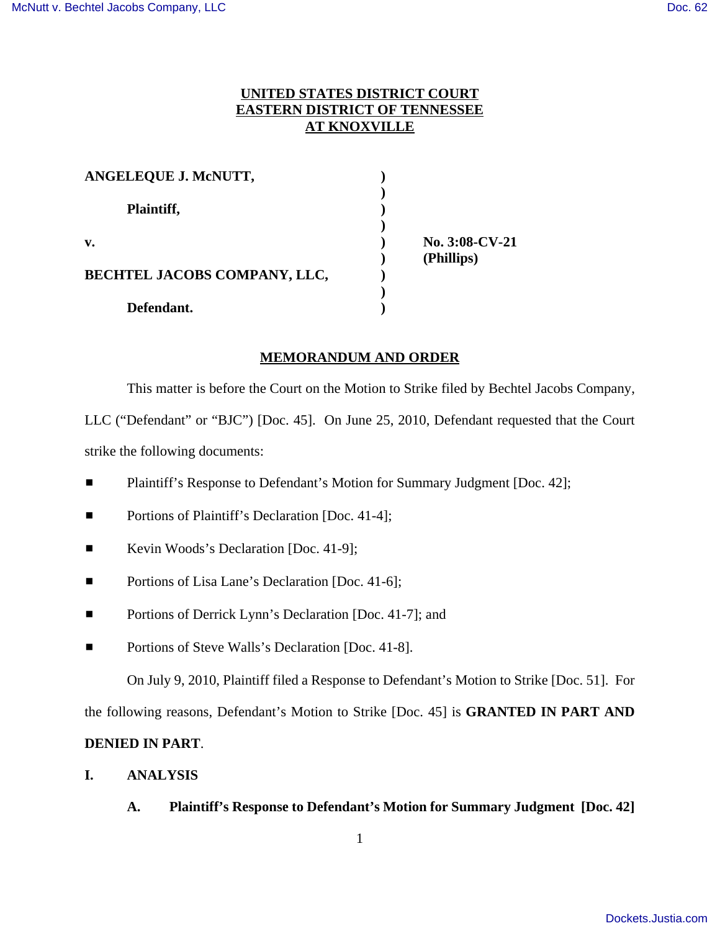# **UNITED STATES DISTRICT COURT EASTERN DISTRICT OF TENNESSEE AT KNOXVILLE**

| ANGELEQUE J. MCNUTT,                |                |  |
|-------------------------------------|----------------|--|
| Plaintiff,                          |                |  |
| v.                                  | No. 3:08-CV-21 |  |
| <b>BECHTEL JACOBS COMPANY, LLC,</b> | (Phillips)     |  |
| Defendant.                          |                |  |

#### **MEMORANDUM AND ORDER**

This matter is before the Court on the Motion to Strike filed by Bechtel Jacobs Company, LLC ("Defendant" or "BJC") [Doc. 45]. On June 25, 2010, Defendant requested that the Court

strike the following documents:

- **Example 3** Plaintiff's Response to Defendant's Motion for Summary Judgment [Doc. 42];
- **Exercise Branch** Portions of Plaintiff's Declaration [Doc. 41-4];
- Kevin Woods's Declaration [Doc. 41-9];
- **Example 3** Portions of Lisa Lane's Declaration [Doc. 41-6];
- **Exercise 3** Portions of Derrick Lynn's Declaration [Doc. 41-7]; and
- **Exercise Bells** Portions of Steve Walls's Declaration [Doc. 41-8].

On July 9, 2010, Plaintiff filed a Response to Defendant's Motion to Strike [Doc. 51]. For

the following reasons, Defendant's Motion to Strike [Doc. 45] is **GRANTED IN PART AND**

# **DENIED IN PART**.

- **I. ANALYSIS**
	- **A. Plaintiff's Response to Defendant's Motion for Summary Judgment [Doc. 42]**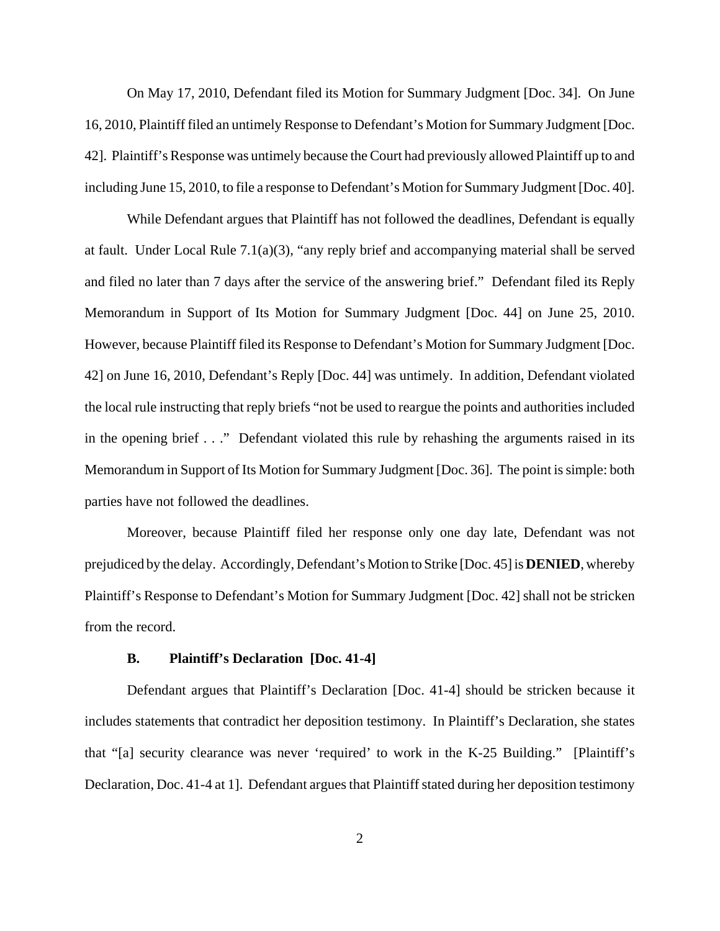On May 17, 2010, Defendant filed its Motion for Summary Judgment [Doc. 34]. On June 16, 2010, Plaintiff filed an untimely Response to Defendant's Motion for Summary Judgment [Doc. 42]. Plaintiff's Response was untimely because the Court had previously allowed Plaintiff up to and including June 15, 2010, to file a response to Defendant's Motion for Summary Judgment [Doc. 40].

While Defendant argues that Plaintiff has not followed the deadlines, Defendant is equally at fault. Under Local Rule 7.1(a)(3), "any reply brief and accompanying material shall be served and filed no later than 7 days after the service of the answering brief." Defendant filed its Reply Memorandum in Support of Its Motion for Summary Judgment [Doc. 44] on June 25, 2010. However, because Plaintiff filed its Response to Defendant's Motion for Summary Judgment [Doc. 42] on June 16, 2010, Defendant's Reply [Doc. 44] was untimely. In addition, Defendant violated the local rule instructing that reply briefs "not be used to reargue the points and authorities included in the opening brief . . ." Defendant violated this rule by rehashing the arguments raised in its Memorandum in Support of Its Motion for Summary Judgment [Doc. 36]. The point is simple: both parties have not followed the deadlines.

Moreover, because Plaintiff filed her response only one day late, Defendant was not prejudiced by the delay. Accordingly, Defendant's Motion to Strike [Doc. 45] is **DENIED**, whereby Plaintiff's Response to Defendant's Motion for Summary Judgment [Doc. 42] shall not be stricken from the record.

#### **B. Plaintiff's Declaration [Doc. 41-4]**

Defendant argues that Plaintiff's Declaration [Doc. 41-4] should be stricken because it includes statements that contradict her deposition testimony. In Plaintiff's Declaration, she states that "[a] security clearance was never 'required' to work in the K-25 Building." [Plaintiff's Declaration, Doc. 41-4 at 1]. Defendant argues that Plaintiff stated during her deposition testimony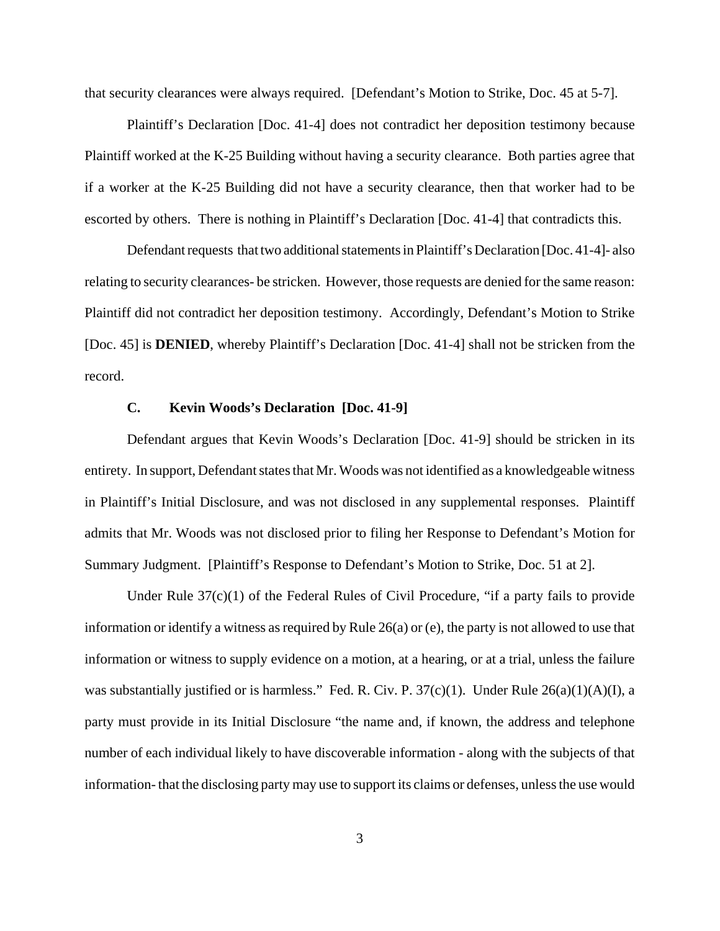that security clearances were always required. [Defendant's Motion to Strike, Doc. 45 at 5-7].

Plaintiff's Declaration [Doc. 41-4] does not contradict her deposition testimony because Plaintiff worked at the K-25 Building without having a security clearance. Both parties agree that if a worker at the K-25 Building did not have a security clearance, then that worker had to be escorted by others. There is nothing in Plaintiff's Declaration [Doc. 41-4] that contradicts this.

Defendant requests that two additional statements in Plaintiff's Declaration [Doc. 41-4]- also relating to security clearances- be stricken. However, those requests are denied for the same reason: Plaintiff did not contradict her deposition testimony. Accordingly, Defendant's Motion to Strike [Doc. 45] is **DENIED**, whereby Plaintiff's Declaration [Doc. 41-4] shall not be stricken from the record.

### **C. Kevin Woods's Declaration [Doc. 41-9]**

Defendant argues that Kevin Woods's Declaration [Doc. 41-9] should be stricken in its entirety. In support, Defendant states that Mr. Woods was not identified as a knowledgeable witness in Plaintiff's Initial Disclosure, and was not disclosed in any supplemental responses. Plaintiff admits that Mr. Woods was not disclosed prior to filing her Response to Defendant's Motion for Summary Judgment. [Plaintiff's Response to Defendant's Motion to Strike, Doc. 51 at 2].

Under Rule 37(c)(1) of the Federal Rules of Civil Procedure, "if a party fails to provide information or identify a witness as required by Rule 26(a) or (e), the party is not allowed to use that information or witness to supply evidence on a motion, at a hearing, or at a trial, unless the failure was substantially justified or is harmless." Fed. R. Civ. P. 37(c)(1). Under Rule 26(a)(1)(A)(I), a party must provide in its Initial Disclosure "the name and, if known, the address and telephone number of each individual likely to have discoverable information - along with the subjects of that information- that the disclosing party may use to support its claims or defenses, unless the use would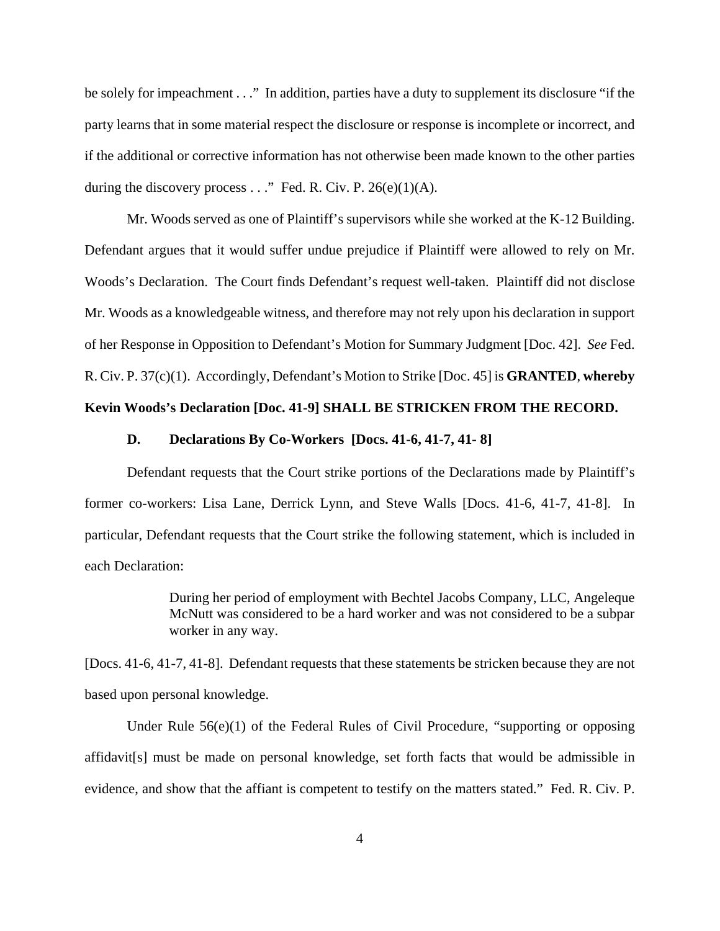be solely for impeachment . . ." In addition, parties have a duty to supplement its disclosure "if the party learns that in some material respect the disclosure or response is incomplete or incorrect, and if the additional or corrective information has not otherwise been made known to the other parties during the discovery process  $\ldots$ " Fed. R. Civ. P. 26(e)(1)(A).

Mr. Woods served as one of Plaintiff's supervisors while she worked at the K-12 Building. Defendant argues that it would suffer undue prejudice if Plaintiff were allowed to rely on Mr. Woods's Declaration. The Court finds Defendant's request well-taken. Plaintiff did not disclose Mr. Woods as a knowledgeable witness, and therefore may not rely upon his declaration in support of her Response in Opposition to Defendant's Motion for Summary Judgment [Doc. 42]. *See* Fed. R. Civ. P. 37(c)(1). Accordingly, Defendant's Motion to Strike [Doc. 45] is **GRANTED**, **whereby**

### **Kevin Woods's Declaration [Doc. 41-9] SHALL BE STRICKEN FROM THE RECORD.**

#### **D. Declarations By Co-Workers [Docs. 41-6, 41-7, 41- 8]**

Defendant requests that the Court strike portions of the Declarations made by Plaintiff's former co-workers: Lisa Lane, Derrick Lynn, and Steve Walls [Docs. 41-6, 41-7, 41-8]. In particular, Defendant requests that the Court strike the following statement, which is included in each Declaration:

> During her period of employment with Bechtel Jacobs Company, LLC, Angeleque McNutt was considered to be a hard worker and was not considered to be a subpar worker in any way.

[Docs. 41-6, 41-7, 41-8]. Defendant requests that these statements be stricken because they are not based upon personal knowledge.

Under Rule  $56(e)(1)$  of the Federal Rules of Civil Procedure, "supporting or opposing affidavit[s] must be made on personal knowledge, set forth facts that would be admissible in evidence, and show that the affiant is competent to testify on the matters stated." Fed. R. Civ. P.